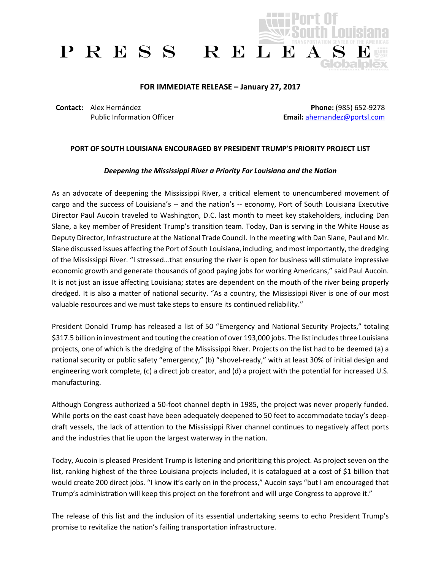

## **FOR IMMEDIATE RELEASE – January 27, 2017**

**Contact:** Alex Hernández Public Information Officer

**Phone:** (985) 652-9278 **Email:** [ahernandez@portsl.com](mailto:ahernandez@portsl.com)

## **PORT OF SOUTH LOUISIANA ENCOURAGED BY PRESIDENT TRUMP'S PRIORITY PROJECT LIST**

## *Deepening the Mississippi River a Priority For Louisiana and the Nation*

As an advocate of deepening the Mississippi River, a critical element to unencumbered movement of cargo and the success of Louisiana's -- and the nation's -- economy, Port of South Louisiana Executive Director Paul Aucoin traveled to Washington, D.C. last month to meet key stakeholders, including Dan Slane, a key member of President Trump's transition team. Today, Dan is serving in the White House as Deputy Director, Infrastructure at the National Trade Council. In the meeting with Dan Slane, Paul and Mr. Slane discussed issues affecting the Port of South Louisiana, including, and most importantly, the dredging of the Mississippi River. "I stressed…that ensuring the river is open for business will stimulate impressive economic growth and generate thousands of good paying jobs for working Americans," said Paul Aucoin. It is not just an issue affecting Louisiana; states are dependent on the mouth of the river being properly dredged. It is also a matter of national security. "As a country, the Mississippi River is one of our most valuable resources and we must take steps to ensure its continued reliability."

President Donald Trump has released a list of 50 "Emergency and National Security Projects," totaling \$317.5 billion in investment and touting the creation of over 193,000 jobs. The list includes three Louisiana projects, one of which is the dredging of the Mississippi River. Projects on the list had to be deemed (a) a national security or public safety "emergency," (b) "shovel-ready," with at least 30% of initial design and engineering work complete, (c) a direct job creator, and (d) a project with the potential for increased U.S. manufacturing.

Although Congress authorized a 50-foot channel depth in 1985, the project was never properly funded. While ports on the east coast have been adequately deepened to 50 feet to accommodate today's deepdraft vessels, the lack of attention to the Mississippi River channel continues to negatively affect ports and the industries that lie upon the largest waterway in the nation.

Today, Aucoin is pleased President Trump is listening and prioritizing this project. As project seven on the list, ranking highest of the three Louisiana projects included, it is catalogued at a cost of \$1 billion that would create 200 direct jobs. "I know it's early on in the process," Aucoin says "but I am encouraged that Trump's administration will keep this project on the forefront and will urge Congress to approve it."

The release of this list and the inclusion of its essential undertaking seems to echo President Trump's promise to revitalize the nation's failing transportation infrastructure.